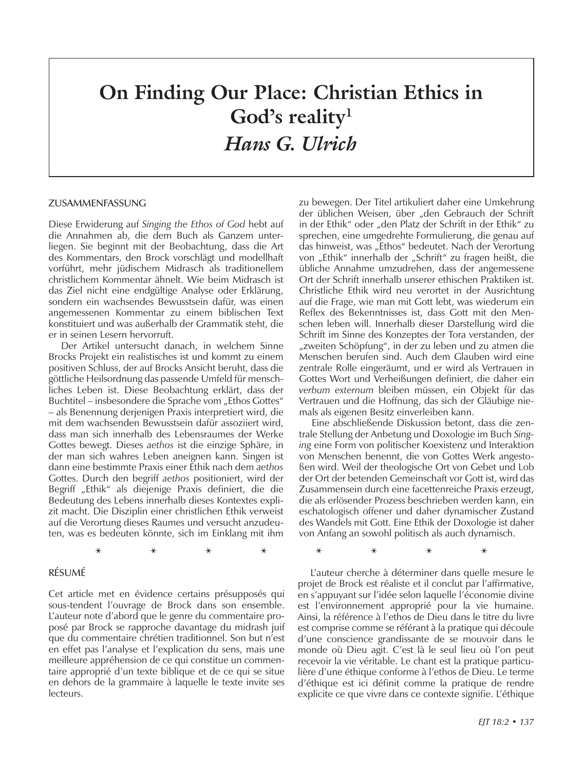# **On Finding Our Place: Christian Ethics in God's reality1** *Hans G. Ulrich*

**\* \* \* \* \* \* \* \***

#### Zusammenfassung

Diese Erwiderung auf *Singing the Ethos of God* hebt auf die Annahmen ab, die dem Buch als Ganzem unterliegen. Sie beginnt mit der Beobachtung, dass die Art des Kommentars, den Brock vorschlägt und modellhaft vorführt, mehr jüdischem Midrasch als traditionellem christlichem Kommentar ähnelt. Wie beim Midrasch ist das Ziel nicht eine endgültige Analyse oder Erklärung, sondern ein wachsendes Bewusstsein dafür, was einen angemessenen Kommentar zu einem biblischen Text konstituiert und was außerhalb der Grammatik steht, die er in seinen Lesern hervorruft.

Der Artikel untersucht danach, in welchem Sinne Brocks Projekt ein realistisches ist und kommt zu einem positiven Schluss, der auf Brocks Ansicht beruht, dass die göttliche Heilsordnung das passende Umfeld für menschliches Leben ist. Diese Beobachtung erklärt, dass der Buchtitel – insbesondere die Sprache vom "Ethos Gottes" – als Benennung derjenigen Praxis interpretiert wird, die mit dem wachsenden Bewusstsein dafür assoziiert wird, dass man sich innerhalb des Lebensraumes der Werke Gottes bewegt. Dieses *aethos* ist die einzige Sphäre, in der man sich wahres Leben aneignen kann. Singen ist dann eine bestimmte Praxis einer Ethik nach dem *aethos* Gottes. Durch den begriff *aethos* positioniert, wird der Begriff "Ethik" als diejenige Praxis definiert, die die Bedeutung des Lebens innerhalb dieses Kontextes explizit macht. Die Disziplin einer christlichen Ethik verweist auf die Verortung dieses Raumes und versucht anzudeuten, was es bedeuten könnte, sich im Einklang mit ihm

### Résumé

Cet article met en évidence certains présupposés qui sous-tendent l'ouvrage de Brock dans son ensemble. L'auteur note d'abord que le genre du commentaire proposé par Brock se rapproche davantage du midrash juif que du commentaire chrétien traditionnel. Son but n'est en effet pas l'analyse et l'explication du sens, mais une meilleure appréhension de ce qui constitue un commentaire approprié d'un texte biblique et de ce qui se situe en dehors de la grammaire à laquelle le texte invite ses lecteurs.

zu bewegen. Der Titel artikuliert daher eine Umkehrung der üblichen Weisen, über "den Gebrauch der Schrift in der Ethik" oder "den Platz der Schrift in der Ethik" zu sprechen, eine umgedrehte Formulierung, die genau auf das hinweist, was "Ethos" bedeutet. Nach der Verortung von "Ethik" innerhalb der "Schrift" zu fragen heißt, die übliche Annahme umzudrehen, dass der angemessene Ort der Schrift innerhalb unserer ethischen Praktiken ist. Christliche Ethik wird neu verortet in der Ausrichtung auf die Frage, wie man mit Gott lebt, was wiederum ein Reflex des Bekenntnisses ist, dass Gott mit den Menschen leben will. Innerhalb dieser Darstellung wird die Schrift im Sinne des Konzeptes der Tora verstanden, der "zweiten Schöpfung", in der zu leben und zu atmen die Menschen berufen sind. Auch dem Glauben wird eine zentrale Rolle eingeräumt, und er wird als Vertrauen in Gottes Wort und Verheißungen definiert, die daher ein *verbum externum* bleiben müssen, ein Objekt für das Vertrauen und die Hoffnung, das sich der Gläubige niemals als eigenen Besitz einverleiben kann.

Eine abschließende Diskussion betont, dass die zentrale Stellung der Anbetung und Doxologie im Buch *Singing* eine Form von politischer Koexistenz und Interaktion von Menschen benennt, die von Gottes Werk angestoßen wird. Weil der theologische Ort von Gebet und Lob der Ort der betenden Gemeinschaft vor Gott ist, wird das Zusammensein durch eine facettenreiche Praxis erzeugt, die als erlösender Prozess beschrieben werden kann, ein eschatologisch offener und daher dynamischer Zustand des Wandels mit Gott. Eine Ethik der Doxologie ist daher von Anfang an sowohl politisch als auch dynamisch.

L'auteur cherche à déterminer dans quelle mesure le projet de Brock est réaliste et il conclut par l'affirmative, en s'appuyant sur l'idée selon laquelle l'économie divine est l'environnement approprié pour la vie humaine. Ainsi, la référence à l'ethos de Dieu dans le titre du livre est comprise comme se référant à la pratique qui découle d'une conscience grandissante de se mouvoir dans le monde où Dieu agit. C'est là le seul lieu où l'on peut recevoir la vie véritable. Le chant est la pratique particulière d'une éthique conforme à l'ethos de Dieu. Le terme d'éthique est ici définit comme la pratique de rendre explicite ce que vivre dans ce contexte signifie. L'éthique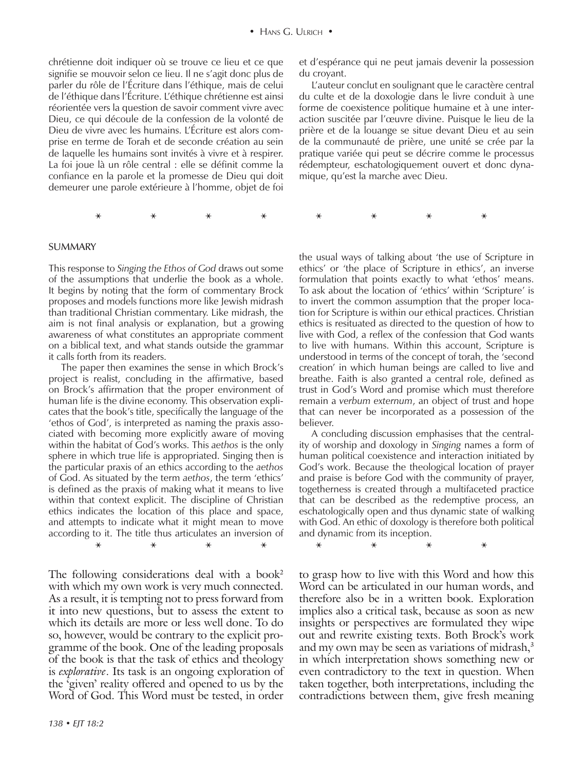chrétienne doit indiquer où se trouve ce lieu et ce que signifie se mouvoir selon ce lieu. Il ne s'agit donc plus de parler du rôle de l'Écriture dans l'éthique, mais de celui de l'éthique dans l'Écriture. L'éthique chrétienne est ainsi réorientée vers la question de savoir comment vivre avec Dieu, ce qui découle de la confession de la volonté de Dieu de vivre avec les humains. L'Écriture est alors comprise en terme de Torah et de seconde création au sein de laquelle les humains sont invités à vivre et à respirer. La foi joue là un rôle central : elle se définit comme la confiance en la parole et la promesse de Dieu qui doit demeurer une parole extérieure à l'homme, objet de foi

et d'espérance qui ne peut jamais devenir la possession du croyant.

L'auteur conclut en soulignant que le caractère central du culte et de la doxologie dans le livre conduit à une forme de coexistence politique humaine et à une interaction suscitée par l'œuvre divine. Puisque le lieu de la prière et de la louange se situe devant Dieu et au sein de la communauté de prière, une unité se crée par la pratique variée qui peut se décrire comme le processus rédempteur, eschatologiquement ouvert et donc dynamique, qu'est la marche avec Dieu.

# **\* \* \* \* \* \* \* \***

#### **SUMMARY**

This response to *Singing the Ethos of God* draws out some of the assumptions that underlie the book as a whole. It begins by noting that the form of commentary Brock proposes and models functions more like Jewish midrash than traditional Christian commentary. Like midrash, the aim is not final analysis or explanation, but a growing awareness of what constitutes an appropriate comment on a biblical text, and what stands outside the grammar it calls forth from its readers.

**\* \* \* \* \* \* \* \*** The paper then examines the sense in which Brock's project is realist, concluding in the affirmative, based on Brock's affirmation that the proper environment of human life is the divine economy. This observation explicates that the book's title, specifically the language of the 'ethos of God', is interpreted as naming the praxis associated with becoming more explicitly aware of moving within the habitat of God's works. This *aethos* is the only sphere in which true life is appropriated. Singing then is the particular praxis of an ethics according to the *aethos* of God. As situated by the term *aethos*, the term 'ethics' is defined as the praxis of making what it means to live within that context explicit. The discipline of Christian ethics indicates the location of this place and space, and attempts to indicate what it might mean to move according to it. The title thus articulates an inversion of

The following considerations deal with a book<sup>2</sup> with which my own work is very much connected. As a result, it is tempting not to press forward from it into new questions, but to assess the extent to which its details are more or less well done. To do so, however, would be contrary to the explicit programme of the book. One of the leading proposals of the book is that the task of ethics and theology is *explorative*. Its task is an ongoing exploration of the 'given' reality offered and opened to us by the Word of God. This Word must be tested, in order

the usual ways of talking about 'the use of Scripture in ethics' or 'the place of Scripture in ethics', an inverse formulation that points exactly to what 'ethos' means. To ask about the location of 'ethics' within 'Scripture' is to invert the common assumption that the proper location for Scripture is within our ethical practices. Christian ethics is resituated as directed to the question of how to live with God, a reflex of the confession that God wants to live with humans. Within this account, Scripture is understood in terms of the concept of torah, the 'second creation' in which human beings are called to live and breathe. Faith is also granted a central role, defined as trust in God's Word and promise which must therefore remain a *verbum externum*, an object of trust and hope that can never be incorporated as a possession of the believer.

A concluding discussion emphasises that the centrality of worship and doxology in *Singing* names a form of human political coexistence and interaction initiated by God's work. Because the theological location of prayer and praise is before God with the community of prayer, togetherness is created through a multifaceted practice that can be described as the redemptive process, an eschatologically open and thus dynamic state of walking with God. An ethic of doxology is therefore both political and dynamic from its inception.

to grasp how to live with this Word and how this Word can be articulated in our human words, and therefore also be in a written book. Exploration implies also a critical task, because as soon as new insights or perspectives are formulated they wipe out and rewrite existing texts. Both Brock's work and my own may be seen as variations of midrash,<sup>3</sup> in which interpretation shows something new or even contradictory to the text in question. When taken together, both interpretations, including the contradictions between them, give fresh meaning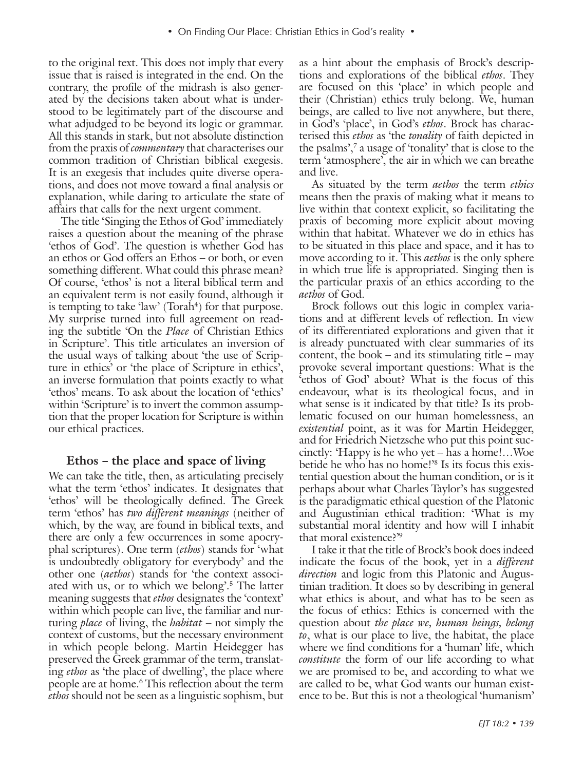to the original text. This does not imply that every issue that is raised is integrated in the end. On the contrary, the profile of the midrash is also generated by the decisions taken about what is understood to be legitimately part of the discourse and what adjudged to be beyond its logic or grammar. All this stands in stark, but not absolute distinction from the praxis of *commentary* that characterises our common tradition of Christian biblical exegesis. It is an exegesis that includes quite diverse operations, and does not move toward a final analysis or explanation, while daring to articulate the state of affairs that calls for the next urgent comment.

The title 'Singing the Ethos of God' immediately raises a question about the meaning of the phrase 'ethos of God'. The question is whether God has an ethos or God offers an Ethos – or both, or even something different. What could this phrase mean? Of course, 'ethos' is not a literal biblical term and an equivalent term is not easily found, although it is tempting to take 'law' (Torah<sup>4</sup>) for that purpose. My surprise turned into full agreement on reading the subtitle 'On the *Place* of Christian Ethics in Scripture'. This title articulates an inversion of the usual ways of talking about 'the use of Scripture in ethics' or 'the place of Scripture in ethics', an inverse formulation that points exactly to what 'ethos' means. To ask about the location of 'ethics' within 'Scripture' is to invert the common assumption that the proper location for Scripture is within our ethical practices.

#### **Ethos – the place and space of living**

We can take the title, then, as articulating precisely what the term 'ethos' indicates. It designates that 'ethos' will be theologically defined. The Greek term 'ethos' has *two different meanings* (neither of which, by the way, are found in biblical texts, and there are only a few occurrences in some apocryphal scriptures). One term (*ethos*) stands for 'what is undoubtedly obligatory for everybody' and the other one (*aethos*) stands for 'the context associated with us, or to which we belong'.5 The latter meaning suggests that *ethos* designates the 'context' within which people can live, the familiar and nurturing *place* of living, the *habitat* – not simply the context of customs, but the necessary environment in which people belong. Martin Heidegger has preserved the Greek grammar of the term, translating *ethos* as 'the place of dwelling', the place where people are at home.6 This reflection about the term *ethos* should not be seen as a linguistic sophism, but

as a hint about the emphasis of Brock's descriptions and explorations of the biblical *ethos*. They are focused on this 'place' in which people and their (Christian) ethics truly belong. We, human beings, are called to live not anywhere, but there, in God's 'place', in God's *ethos*. Brock has characterised this *ethos* as 'the *tonality* of faith depicted in the psalms',7 a usage of 'tonality' that is close to the term 'atmosphere', the air in which we can breathe and live.

As situated by the term *aethos* the term *ethics* means then the praxis of making what it means to live within that context explicit, so facilitating the praxis of becoming more explicit about moving within that habitat. Whatever we do in ethics has to be situated in this place and space, and it has to move according to it. This *aethos* is the only sphere in which true life is appropriated. Singing then is the particular praxis of an ethics according to the *aethos* of God.

Brock follows out this logic in complex variations and at different levels of reflection. In view of its differentiated explorations and given that it is already punctuated with clear summaries of its content, the book – and its stimulating title – may provoke several important questions: What is the 'ethos of God' about? What is the focus of this endeavour, what is its theological focus, and in what sense is it indicated by that title? Is its problematic focused on our human homelessness, an *existential* point, as it was for Martin Heidegger, and for Friedrich Nietzsche who put this point succinctly: 'Happy is he who yet – has a home!…Woe betide he who has no home!'8 Is its focus this existential question about the human condition, or is it perhaps about what Charles Taylor's has suggested is the paradigmatic ethical question of the Platonic and Augustinian ethical tradition: 'What is my substantial moral identity and how will I inhabit that moral existence?'9

I take it that the title of Brock's book does indeed indicate the focus of the book, yet in a *different direction* and logic from this Platonic and Augustinian tradition. It does so by describing in general what ethics is about, and what has to be seen as the focus of ethics: Ethics is concerned with the question about *the place we, human beings, belong to*, what is our place to live, the habitat, the place where we find conditions for a 'human' life, which *constitute* the form of our life according to what we are promised to be, and according to what we are called to be, what God wants our human existence to be. But this is not a theological 'humanism'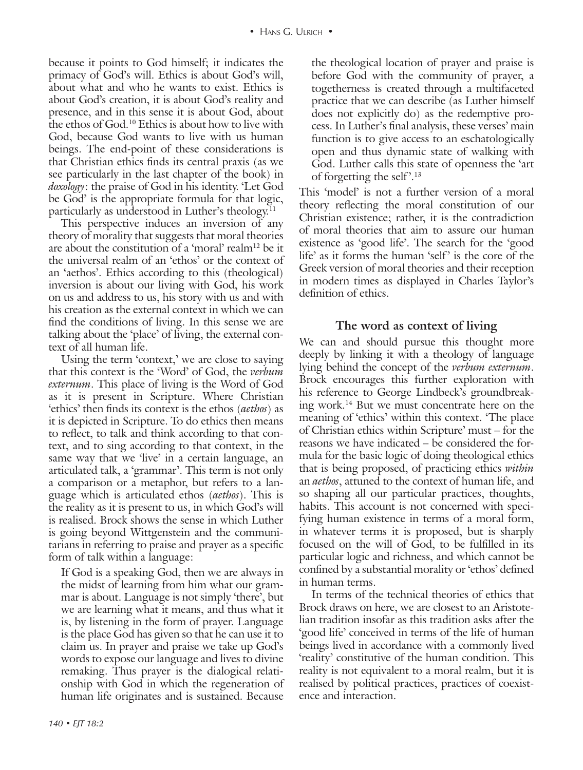because it points to God himself; it indicates the primacy of God's will. Ethics is about God's will, about what and who he wants to exist. Ethics is about God's creation, it is about God's reality and presence, and in this sense it is about God, about the ethos of God.10 Ethics is about how to live with God, because God wants to live with us human beings. The end-point of these considerations is that Christian ethics finds its central praxis (as we see particularly in the last chapter of the book) in *doxology*: the praise of God in his identity. 'Let God be God' is the appropriate formula for that logic, particularly as understood in Luther's theology.11

This perspective induces an inversion of any theory of morality that suggests that moral theories are about the constitution of a 'moral' realm<sup>12</sup> be it the universal realm of an 'ethos' or the context of an 'aethos'. Ethics according to this (theological) inversion is about our living with God, his work on us and address to us, his story with us and with his creation as the external context in which we can find the conditions of living. In this sense we are talking about the 'place' of living, the external context of all human life.

Using the term 'context,' we are close to saying that this context is the 'Word' of God, the *verbum externum*. This place of living is the Word of God as it is present in Scripture. Where Christian 'ethics' then finds its context is the ethos (*aethos*) as it is depicted in Scripture. To do ethics then means to reflect, to talk and think according to that context, and to sing according to that context, in the same way that we 'live' in a certain language, an articulated talk, a 'grammar'. This term is not only a comparison or a metaphor, but refers to a language which is articulated ethos (*aethos*). This is the reality as it is present to us, in which God's will is realised. Brock shows the sense in which Luther is going beyond Wittgenstein and the communitarians in referring to praise and prayer as a specific form of talk within a language:

If God is a speaking God, then we are always in the midst of learning from him what our grammar is about. Language is not simply 'there', but we are learning what it means, and thus what it is, by listening in the form of prayer. Language is the place God has given so that he can use it to claim us. In prayer and praise we take up God's words to expose our language and lives to divine remaking. Thus prayer is the dialogical relationship with God in which the regeneration of human life originates and is sustained. Because

the theological location of prayer and praise is before God with the community of prayer, a togetherness is created through a multifaceted practice that we can describe (as Luther himself does not explicitly do) as the redemptive process. In Luther's final analysis, these verses' main function is to give access to an eschatologically open and thus dynamic state of walking with God. Luther calls this state of openness the 'art of forgetting the self'.<sup>13</sup>

This 'model' is not a further version of a moral theory reflecting the moral constitution of our Christian existence; rather, it is the contradiction of moral theories that aim to assure our human existence as 'good life'. The search for the 'good life' as it forms the human 'self' is the core of the Greek version of moral theories and their reception in modern times as displayed in Charles Taylor's definition of ethics.

# **The word as context of living**

We can and should pursue this thought more deeply by linking it with a theology of language lying behind the concept of the *verbum externum*. Brock encourages this further exploration with his reference to George Lindbeck's groundbreaking work.14 But we must concentrate here on the meaning of 'ethics' within this context. 'The place of Christian ethics within Scripture' must – for the reasons we have indicated – be considered the formula for the basic logic of doing theological ethics that is being proposed, of practicing ethics *within* an *aethos*, attuned to the context of human life, and so shaping all our particular practices, thoughts, habits. This account is not concerned with specifying human existence in terms of a moral form, in whatever terms it is proposed, but is sharply focused on the will of God, to be fulfilled in its particular logic and richness, and which cannot be confined by a substantial morality or 'ethos' defined in human terms.

In terms of the technical theories of ethics that Brock draws on here, we are closest to an Aristotelian tradition insofar as this tradition asks after the 'good life' conceived in terms of the life of human beings lived in accordance with a commonly lived 'reality' constitutive of the human condition. This reality is not equivalent to a moral realm, but it is realised by political practices, practices of coexistence and interaction.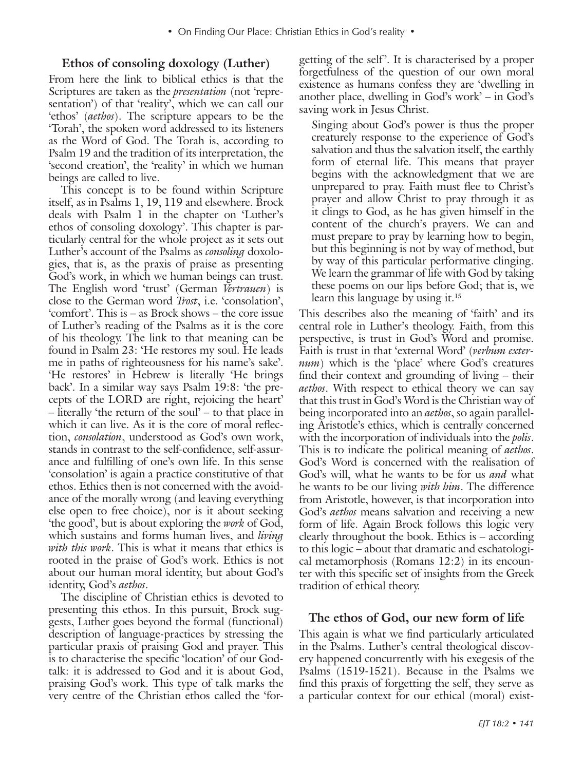# **Ethos of consoling doxology (Luther)**

From here the link to biblical ethics is that the Scriptures are taken as the *presentation* (not 'representation') of that 'reality', which we can call our 'ethos' (*aethos*). The scripture appears to be the 'Torah', the spoken word addressed to its listeners as the Word of God. The Torah is, according to Psalm 19 and the tradition of its interpretation, the 'second creation', the 'reality' in which we human beings are called to live.

This concept is to be found within Scripture itself, as in Psalms 1, 19, 119 and elsewhere. Brock deals with Psalm 1 in the chapter on 'Luther's ethos of consoling doxology'. This chapter is particularly central for the whole project as it sets out Luther's account of the Psalms as *consoling* doxologies, that is, as the praxis of praise as presenting God's work, in which we human beings can trust. The English word 'trust' (German *Vertrauen*) is close to the German word *Trost*, i.e. 'consolation', 'comfort'. This is – as Brock shows – the core issue of Luther's reading of the Psalms as it is the core of his theology. The link to that meaning can be found in Psalm 23: 'He restores my soul. He leads me in paths of righteousness for his name's sake'. 'He restores' in Hebrew is literally 'He brings back'. In a similar way says Psalm 19:8: 'the precepts of the LORD are right, rejoicing the heart' – literally 'the return of the soul' – to that place in which it can live. As it is the core of moral reflection, *consolation*, understood as God's own work, stands in contrast to the self-confidence, self-assurance and fulfilling of one's own life. In this sense 'consolation' is again a practice constitutive of that ethos. Ethics then is not concerned with the avoidance of the morally wrong (and leaving everything else open to free choice), nor is it about seeking 'the good', but is about exploring the *work* of God, which sustains and forms human lives, and *living with this work*. This is what it means that ethics is rooted in the praise of God's work. Ethics is not about our human moral identity, but about God's identity, God's *aethos*.

The discipline of Christian ethics is devoted to presenting this ethos. In this pursuit, Brock suggests, Luther goes beyond the formal (functional) description of language-practices by stressing the particular praxis of praising God and prayer. This is to characterise the specific 'location' of our Godtalk: it is addressed to God and it is about God, praising God's work. This type of talk marks the very centre of the Christian ethos called the 'forgetting of the self'. It is characterised by a proper forgetfulness of the question of our own moral existence as humans confess they are 'dwelling in another place, dwelling in God's work' – in God's saving work in Jesus Christ.

Singing about God's power is thus the proper creaturely response to the experience of God's salvation and thus the salvation itself, the earthly form of eternal life. This means that prayer begins with the acknowledgment that we are unprepared to pray. Faith must flee to Christ's prayer and allow Christ to pray through it as it clings to God, as he has given himself in the content of the church's prayers. We can and must prepare to pray by learning how to begin, but this beginning is not by way of method, but by way of this particular performative clinging. We learn the grammar of life with God by taking these poems on our lips before God; that is, we learn this language by using it.<sup>15</sup>

This describes also the meaning of 'faith' and its central role in Luther's theology. Faith, from this perspective, is trust in God's Word and promise. Faith is trust in that 'external Word' (*verbum externum*) which is the 'place' where God's creatures find their context and grounding of living – their *aethos*. With respect to ethical theory we can say that this trust in God's Word is the Christian way of being incorporated into an *aethos*, so again paralleling Aristotle's ethics, which is centrally concerned with the incorporation of individuals into the *polis*. This is to indicate the political meaning of *aethos*. God's Word is concerned with the realisation of God's will, what he wants to be for us *and* what he wants to be our living *with him*. The difference from Aristotle, however, is that incorporation into God's *aethos* means salvation and receiving a new form of life. Again Brock follows this logic very clearly throughout the book. Ethics is – according to this logic – about that dramatic and eschatological metamorphosis (Romans 12:2) in its encounter with this specific set of insights from the Greek tradition of ethical theory.

#### **The ethos of God, our new form of life**

This again is what we find particularly articulated in the Psalms. Luther's central theological discovery happened concurrently with his exegesis of the Psalms (1519-1521). Because in the Psalms we find this praxis of forgetting the self, they serve as a particular context for our ethical (moral) exist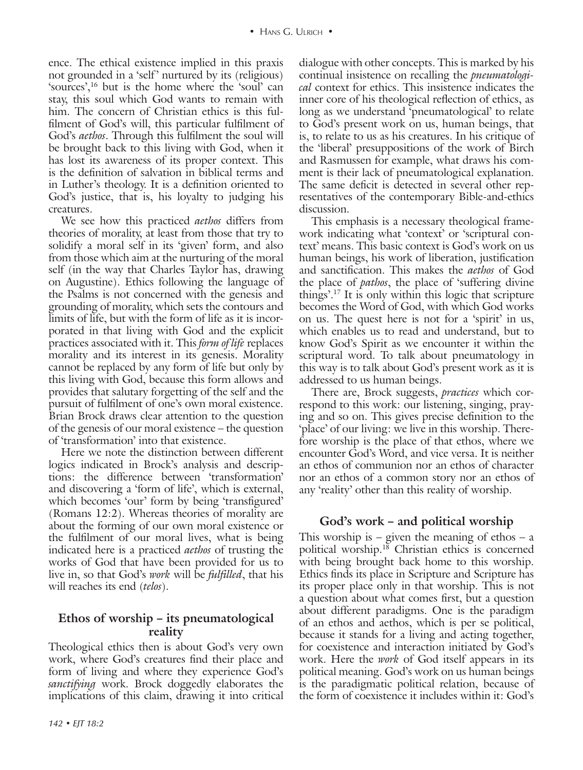ence. The ethical existence implied in this praxis not grounded in a 'self' nurtured by its (religious) 'sources',16 but is the home where the 'soul' can stay, this soul which God wants to remain with him. The concern of Christian ethics is this fulfilment of God's will, this particular fulfilment of God's *aethos*. Through this fulfilment the soul will be brought back to this living with God, when it has lost its awareness of its proper context. This is the definition of salvation in biblical terms and in Luther's theology. It is a definition oriented to God's justice, that is, his loyalty to judging his creatures.

We see how this practiced *aethos* differs from theories of morality, at least from those that try to solidify a moral self in its 'given' form, and also from those which aim at the nurturing of the moral self (in the way that Charles Taylor has, drawing on Augustine). Ethics following the language of the Psalms is not concerned with the genesis and grounding of morality, which sets the contours and limits of life, but with the form of life as it is incorporated in that living with God and the explicit practices associated with it. This *form of life* replaces morality and its interest in its genesis. Morality cannot be replaced by any form of life but only by this living with God, because this form allows and provides that salutary forgetting of the self and the pursuit of fulfilment of one's own moral existence. Brian Brock draws clear attention to the question of the genesis of our moral existence – the question of 'transformation' into that existence.

Here we note the distinction between different logics indicated in Brock's analysis and descriptions: the difference between 'transformation' and discovering a 'form of life', which is external, which becomes 'our' form by being 'transfigured' (Romans 12:2). Whereas theories of morality are about the forming of our own moral existence or the fulfilment of our moral lives, what is being indicated here is a practiced *aethos* of trusting the works of God that have been provided for us to live in, so that God's *work* will be *fulfilled*, that his will reaches its end (*telos*).

# **Ethos of worship – its pneumatological reality**

Theological ethics then is about God's very own work, where God's creatures find their place and form of living and where they experience God's *sanctifying* work. Brock doggedly elaborates the implications of this claim, drawing it into critical

dialogue with other concepts. This is marked by his continual insistence on recalling the *pneumatological* context for ethics. This insistence indicates the inner core of his theological reflection of ethics, as long as we understand 'pneumatological' to relate to God's present work on us, human beings, that is, to relate to us as his creatures. In his critique of the 'liberal' presuppositions of the work of Birch and Rasmussen for example, what draws his comment is their lack of pneumatological explanation. The same deficit is detected in several other representatives of the contemporary Bible-and-ethics discussion.

This emphasis is a necessary theological framework indicating what 'context' or 'scriptural context' means. This basic context is God's work on us human beings, his work of liberation, justification and sanctification. This makes the *aethos* of God the place of *pathos*, the place of 'suffering divine things'.17 It is only within this logic that scripture becomes the Word of God, with which God works on us. The quest here is not for a 'spirit' in us, which enables us to read and understand, but to know God's Spirit as we encounter it within the scriptural word. To talk about pneumatology in this way is to talk about God's present work as it is addressed to us human beings.

There are, Brock suggests, *practices* which correspond to this work: our listening, singing, praying and so on. This gives precise definition to the 'place' of our living: we live in this worship. Therefore worship is the place of that ethos, where we encounter God's Word, and vice versa. It is neither an ethos of communion nor an ethos of character nor an ethos of a common story nor an ethos of any 'reality' other than this reality of worship.

# **God's work – and political worship**

This worship is – given the meaning of ethos – a political worship.<sup>18</sup> Christian ethics is concerned with being brought back home to this worship. Ethics finds its place in Scripture and Scripture has its proper place only in that worship. This is not a question about what comes first, but a question about different paradigms. One is the paradigm of an ethos and aethos, which is per se political, because it stands for a living and acting together, for coexistence and interaction initiated by God's work. Here the *work* of God itself appears in its political meaning. God's work on us human beings is the paradigmatic political relation, because of the form of coexistence it includes within it: God's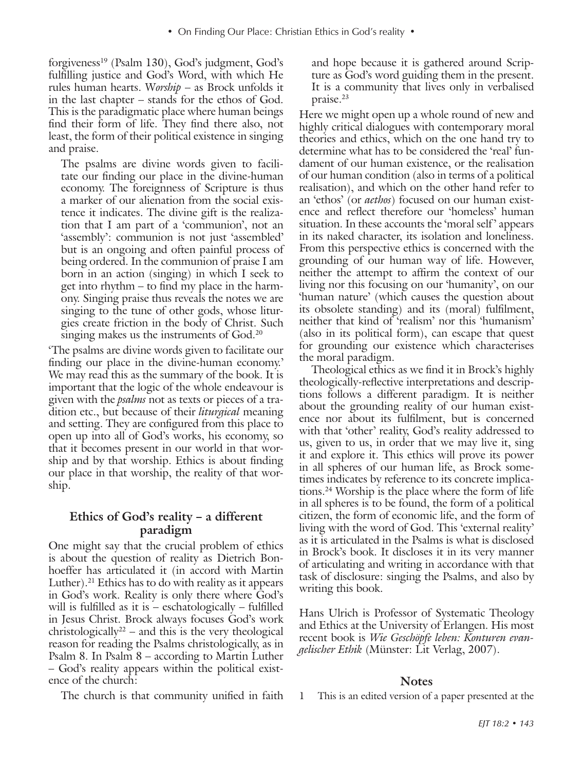forgiveness19 (Psalm 130), God's judgment, God's fulfilling justice and God's Word, with which He rules human hearts. W*orship* – as Brock unfolds it in the last chapter – stands for the ethos of God. This is the paradigmatic place where human beings find their form of life. They find there also, not least, the form of their political existence in singing and praise.

The psalms are divine words given to facilitate our finding our place in the divine-human economy. The foreignness of Scripture is thus a marker of our alienation from the social existence it indicates. The divine gift is the realization that I am part of a 'communion', not an 'assembly': communion is not just 'assembled' but is an ongoing and often painful process of being ordered. In the communion of praise I am born in an action (singing) in which I seek to get into rhythm – to find my place in the harmony. Singing praise thus reveals the notes we are singing to the tune of other gods, whose liturgies create friction in the body of Christ. Such singing makes us the instruments of God.<sup>20</sup>

'The psalms are divine words given to facilitate our finding our place in the divine-human economy.' We may read this as the summary of the book. It is important that the logic of the whole endeavour is given with the *psalms* not as texts or pieces of a tradition etc., but because of their *liturgical* meaning and setting. They are configured from this place to open up into all of God's works, his economy, so that it becomes present in our world in that worship and by that worship. Ethics is about finding our place in that worship, the reality of that worship.

# **Ethics of God's reality – a different paradigm**

One might say that the crucial problem of ethics is about the question of reality as Dietrich Bonhoeffer has articulated it (in accord with Martin Luther).<sup>21</sup> Ethics has to do with reality as it appears in God's work. Reality is only there where God's will is fulfilled as it is – eschatologically – fulfilled in Jesus Christ. Brock always focuses God's work christologically<sup>22</sup> – and this is the very theological reason for reading the Psalms christologically, as in Psalm 8. In Psalm 8 – according to Martin Luther – God's reality appears within the political existence of the church:

and hope because it is gathered around Scripture as God's word guiding them in the present. It is a community that lives only in verbalised praise.23

Here we might open up a whole round of new and highly critical dialogues with contemporary moral theories and ethics, which on the one hand try to determine what has to be considered the 'real' fundament of our human existence, or the realisation of our human condition (also in terms of a political realisation), and which on the other hand refer to an 'ethos' (or *aethos*) focused on our human existence and reflect therefore our 'homeless' human situation. In these accounts the 'moral self' appears in its naked character, its isolation and loneliness. From this perspective ethics is concerned with the grounding of our human way of life. However, neither the attempt to affirm the context of our living nor this focusing on our 'humanity', on our 'human nature' (which causes the question about its obsolete standing) and its (moral) fulfilment, neither that kind of 'realism' nor this 'humanism' (also in its political form), can escape that quest for grounding our existence which characterises the moral paradigm.

Theological ethics as we find it in Brock's highly theologically-reflective interpretations and descriptions follows a different paradigm. It is neither about the grounding reality of our human existence nor about its fulfilment, but is concerned with that 'other' reality, God's reality addressed to us, given to us, in order that we may live it, sing it and explore it. This ethics will prove its power in all spheres of our human life, as Brock sometimes indicates by reference to its concrete implications.24 Worship is the place where the form of life in all spheres is to be found, the form of a political citizen, the form of economic life, and the form of living with the word of God. This 'external reality' as it is articulated in the Psalms is what is disclosed in Brock's book. It discloses it in its very manner of articulating and writing in accordance with that task of disclosure: singing the Psalms, and also by writing this book.

Hans Ulrich is Professor of Systematic Theology and Ethics at the University of Erlangen. His most recent book is *Wie Geschöpfe leben: Konturen evangelischer Ethik* (Münster: Lit Verlag, 2007).

#### **Notes**

The church is that community unified in faith

1 This is an edited version of a paper presented at the